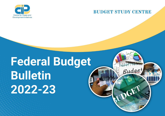

## **BUDGET STUDY CENTRE**

Budge

 $\mathbf{G}^{\mathbf{E}}$ 

# **Federal Budget Bulletin 2022-23**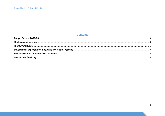## Contents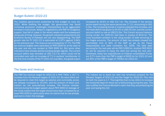## <span id="page-2-0"></span>Budget Bulletin 2022-23

The Coalition government presented its first budget on June 10, 2022. While drafting the budget, the government has faced numerous economic challenges characterised by an aggravated increase in fuel prices, delays in negotiations with IMF for budgetary support, free fall of rupee in the recent weeks and the subsequent rising cost of living. However, the growth indicators presented by the Economic Survey of Pakistan are not very disappointing. The GDP growth rate for FY 2021-22 is estimated at 5.97% against 3.94% for the previous year. The revenue has increased by 17.7%. The FBR tax revenue targets were estimated at PKR 5829 bn at the start of the year and are now revised at PKR 6000 bn. But some other indicators have already started sending danger signals. The current account deficit was recorded at USD 13.2 bn which could not be controlled even with an increase of 7% in workers' remittances. In the first nine months of the FY 2021-22 (July-Mar), the goods export

increased by 26.6% to USD 23.7 bn. The increase in the service sector export during the same period was 17.1%, amounting to USD 5.1bn. The increasing trends in imports subsided this increase, and the trade deficit has grown to 55.5% or USD 30.1bn, and the current account deficit is now at USD13.2bn. The Current account balance during Jul-Apr, for 2020-21 had been in surplus of \$0.8 bn. The most exorbitant problem is the rising burden of debt servicing on the fragile economy. The amount of debt has already crossed the permissible limit of 60% of the GDP as set by the Fiscal Responsibility and Debt Limitation Act, 2005. The total debt servicing for the next year will be PKR 3,950 bn. Another PKR 2632 bn will be required to repay the debt due during the next year. Combined, these two expenditures on Federal consolidated Funds are 9.7% more than the FBR's target of 6000 bn for 2021-22 and are 94% of the FBR's target of 7004bn for 2022-23.

## <span id="page-2-1"></span>The taxes and revenue

The FBR Tax revenue target for 2022-23 is PKR 7004, a 16.7 % increase from the Revised targets of 2021-22. No extra effort will be required to meet this target as salaries and commodity prices are already increased by 15-20%, and the amount of direct and indirect tax will automatically increase. The finance minister claimed during the budget speech about PKR 3000 bn leakage of the funds means that the target should have been increased by at least PKR 3000 bn particularly when he claims that he has already planned to check this leakage.

The indirect tax to direct tax ratio has remained constant for the Revised Targets of 2021-22 and the Target for 2022-23. This ratio for both the years is 1.7. That signifies that no tax reform to increase the horizontal base for direct tax is forthcoming during the year. This also nullifies the Finance Minister's claim that they are protecting the poor and taxing the rich.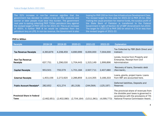The 52% increase in non-Tax revenue signifies that the government has decided to collect a levy on POL products and sooner or later people must bear this burden. The government next year is eyeing collecting PKR 750bn petroleum levy against the revised target of PKR 135 bn for 2021-22. This is an increase of 455%. A further PKR 8 bn would be collected from the petroleum levy on LPG. In non-tax revenue, the Government is also

hoping for PKR 200 bn from Gas Infrastructure Development Cess. The revised target for this cess for 2021-22 is PKR 25 bn. After making the usual provision for reserve funds, the surplus profit of the State Bank of Pakistan is transferred to the Federal Government in light of Section 42 of SBP (Amendment) Act,2022. The target for 2022-23 is PKR 300 bn which is 174 bn less than the revised targets of 2021-22.

| <b>Receipts</b>                                    | 2018-19     | 2019-20     | 2020-21     | 2021-22     | 2022-23     | <b>Explanation</b>                                                                                                                                              |
|----------------------------------------------------|-------------|-------------|-------------|-------------|-------------|-----------------------------------------------------------------------------------------------------------------------------------------------------------------|
| <b>Tax Revenue Receipts</b>                        | 4,393,876   | 4,208,459   | 4,690,999   | 6,000,000   | 7,004,000   | Tax Collected by FBR (Both Direct and<br>Indirect)                                                                                                              |
| Non-Tax Revenue<br>Receipts                        | 637,751     | 1,296,030   | 1,704,443   | 1,315,149   | 1,999,896   | Levies, Income from Property and<br>Enterprise, Receipt from Civil<br>Administration                                                                            |
| <b>Capital Receipts</b>                            | 953,501     | 755,579     | 1,701,184   | 2,507,711   | 2,407,680   | Recovery of Ioans, Domestic debt<br>(Non-bank),                                                                                                                 |
| <b>External Receipts</b>                           | 1,403,156   | 2,272,920   | 2,286,859   | 3,114,355   | 3,166,333   | Loans, grants, project loans. Loans<br>from IMF are accounted here.                                                                                             |
| Public Account Receipts*                           | 282,652     | 421,274     | (81,318)    | (244, 564)  | (125, 197)  | Deferred liabilities, Deposits and<br><b>Reserves</b>                                                                                                           |
| <b>Provincial Share in Federal</b><br><b>Taxes</b> | (2,462,651) | (2,402,080) | (2,704,164) | (3,511,961) | (4,099,773) | The provincial share of revenues from<br>the divisible pool taxes is governed in<br>accordance with the provisions of 7th<br>National Finance Commission Award. |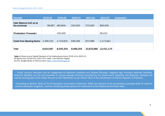| Receipts                                  | 2018-19   | 2019-20   | 2020-21   | 2021-22    | 2022-23    | <b>Explanation</b> |
|-------------------------------------------|-----------|-----------|-----------|------------|------------|--------------------|
| Cash Balance built up by<br>the provinces | 58,987    | (80, 664) | 242,000   | 570,000    | 800,000    |                    |
| <b>Privatization Proceeds+</b>            |           | 150,000   |           |            | 96,410     |                    |
| <b>Credit from Banking Sector</b>         | 1,356,315 | 1,723,815 | 649,256   | 872,999    | 1,171,821  |                    |
| Total                                     | 6,623,587 | 8,345,333 | 8,489,259 | 10,623,689 | 12,421,170 |                    |

*Table 1: Revenue and Capital Receipts of the federal government 2018-19 to 2022-23 All figures from 2018-19 to 2021-22 in table 1 are Revised Targets. Source: Budget Books of Various years [https://www.finance.gov.pk](https://www.finance.gov.pk/)*

\* Public Account Receipts may be categorized as Deferred Liabilities and Deposit Receipts. Negative sign indicates deferred liabilities. Deferred liabilities are the net proceeds of various savings schemes launched by the Government. Deposits and Reserves represent all monies forming part of the Public Account of the Federation as per Article 78(2) of the Constitution of Islamic Republic of Pakistan.

+According to Section 16(2) of The Privatization Commission Ordinance, 2000, ten percent of the privatization proceeds shall be used for poverty alleviation programs ; and the remaining ninety percent for retirement of the Federal Government debt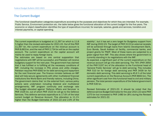## <span id="page-5-0"></span>The Current Budget

The functional classification categories expenditure according to the purposes and objectives for which they are intended. For example, Public Service, Environment protection etc. the table below gives the functional allocation of the current budget for the five years. The economic or object classification identifies the type of expenditure incurred, for example, salaries, goods and services, transfers and interest payments, or capital spending.

The current expenditure is budgeted at 11,397 bn which is 11.8 % higher than the revised estimates for 2021-22. Out of this PKR 11,397 bn, the current expenditure on the revenue account is PKR 8,663 bn, and the rest of PKR 2,734 bn will be on the capital account. The current expenditure on the capital account will mainly be used to repay foreign loans.

The estimates are based on one central supposition that negotiations with IMF will be successful, and Pakistan will receive budgetary support for the next year. The government has claimed that it has fulfilled or is fulfilling all the necessary conditions of IMF, including the increase in POL prices and utility charges. Pakistan requires PKR 6582 bn for debt servicing and repayment for the next financial year. The finance minister believes an IMF deal will help secure agreements with other multilateral financial institutions like World Bank and friendly nations, including China. The government claims that 'on the external front, various policy actions were undertaken including bilateral and multilateral arrangements, IMF program continuity and exchange rate The budget allocated against 'Defence Affairs and Services' is PKR 1526 bn, out of which PKR 1523 bn will go to the Defence Services. This defence services expenditure is 17.6% of the total current budget on Revenue Account. This allocation is 11.1% higher than the Budget Estimates of 2021-22 and 2.9% of the

stability", but it has set a zero target for Budgetary support from IMF during 2022-23. The target of PKR 3115 bn external receipts will be achieved through loans from Islamic Development Bank. Euro Bonds, Saudi Arabian oil facility, commercial banks, and project grants for PSDP. Most of these loans are subjected to a green signal from IMF. This also shows where the government is currently standing in its negotiations with the IMF.

As expected, a significant part of the current expenditure on the revenue account will go into debt servicing. The 76% (PKR 3950 of the PKR 5197 bn) of the allocation to the Functional head of 'General Public Services' will go to debt servicing. This includes PKR 510 bn for foreign debt servicing and PKR 3439 bn for domestic debt servicing. This debt servicing is 45.6 % of the total current expenditure on the Revenue Account (PKR 8663 bn). The other significant cost from this functional head is civil and military pension. The total pension expenditure of the federal government is PKR 530 bn.

Revised Estimates of 2021-22. It should be noted that the defence service Budget Estimates for the year 2021-22 were PKR 1370 bn but increased to PKR 1480 bn (8%) during the Revised estimates for 2021-22.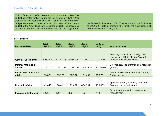'Public Order and Safety' covers both courts and police. The budget estimates for Law Courts are 9.2 bn which is 12% higher than the revised estimates of 2021-22 and 17% higher than the budget estimates. It must be noted that most of the current budget of the 'Law Court' is the charged budget. The police and Civil Armed forces will get PKR 190 bn which is 7.3% higher than

the Revised Estimates and 15.1 % higher than Budget Estimates of 2021-22. Table 2 presents the functional classification of expenditure over the five years.

| <b>Functional Head</b>                           | 2018-<br>19(R.E.) | 2019-<br>20(R.E.) | $2020 -$<br>21(R.E.) | $2021 -$<br>22(R.E.) | 2022-23<br>(B.E.) | What is Included?                                                                                            |
|--------------------------------------------------|-------------------|-------------------|----------------------|----------------------|-------------------|--------------------------------------------------------------------------------------------------------------|
| <b>General Public Service</b>                    | 4,252,820         | 5,748,218         | 5,555,952            | 7,434,270            | 9,023,211         | Servicing Domestic and Foreign Debt,<br>Repayment of Debt (Capital Account)<br>Pension, Provincial transfers |
| Defence Affairs and<br><b>Services</b>           | 1,137,710         | 1,227,388         | 1,299,188            | 1,483,922            | 1,526,698         | Defence services, Defence administration<br>(Ministry)                                                       |
| <b>Public Order and Safety</b><br><b>Affairs</b> | 133,021           | 153,269           | 168,952              | 191,491              | 208,761           | Courts, Police, Prison, Attorney general,<br>Ombudsperson                                                    |
| <b>Economic Affairs</b>                          | 142,440           | 106,411           | 192,452              | 454,092              | 138,803           | Agriculture, Foor, Irrigation, Transport,<br>Communication, Industries                                       |
| <b>Environmental Protection</b>                  | 1,271             | 470               | 399                  | 452                  | 749               | Environment protection, waste water<br>management                                                            |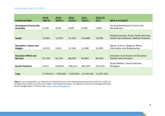| <b>Functional Head</b>                           | 2018-<br>19(R.E.) | 2019-<br>20(R.E.) | 2020-<br>21(R.E.) | $2021 -$<br>22(R.E.) | 2022-23<br>(B.E.) | What is Included?                                                                            |
|--------------------------------------------------|-------------------|-------------------|-------------------|----------------------|-------------------|----------------------------------------------------------------------------------------------|
| <b>Housing and Community</b><br><b>Amenities</b> | 2,318             | 2545              | 9,997             | 5,463                | 7,850             | <b>Housing Development Community</b><br>Development                                          |
| <b>Health</b>                                    | 13,991            | 12,023            | 52,325            | 154,889              | 19,582            | Hospital services, Public Health Services,<br><b>Health Administration, Medical Products</b> |
| Recreation, Culture and<br>Religion              | 10,512            | 9,301             | 12,160            | 12,380               | 10,990            | Sports, Culture, Religious Affairs,<br>Information and Broadcasting                          |
| <b>Education Affairs and</b><br><b>Services</b>  | 97,155            | 81,253            | 88,090            | 90,861               | 90,556            | Education at all levels and Education<br><b>Related Administration</b>                       |
| <b>Social Protection</b>                         | 2,672             | 245024            | 246,411           | 362,205              | 370,103           | Social Welfare, Flood Protection,<br>Refugees,                                               |
| Total                                            | 5,793,910         | 7,585,902         | 7,625,926         | 10,190,025           | 11,397,303        |                                                                                              |

*Table 2: Current Expenditure on Revenue and Capital Accounts of the federal government from 2018-19 to 2022-23 All figures from 2018-19 to 2021-22 in table 1 are Revised Estimates. The figures for 2022-23 are Budget Estimates. Source: Budget Books of Various years [https://www.finance.gov.pk](https://www.finance.gov.pk/)*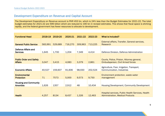## <span id="page-8-0"></span>Development Expenditure on Revenue and Capital Account

The Development Expenditure on Revenue account is PKR 453 bn, which is 24% less than the Budget Estimates for 2021-22. The total budget estimates for 2021-22 are 599 billion which are reduced to 190 bn in revised estimates. This shows that fiscal space is shirking rapidly, and the federal government has fewer resources to allocate to development.

| <b>Functional Head</b>                           | 2018-19 | 2019-20 | 2020-21 | 2021-22 | 2022-23 | What is Included?                                                                            |
|--------------------------------------------------|---------|---------|---------|---------|---------|----------------------------------------------------------------------------------------------|
| <b>General Public Service</b>                    | 583,991 | 529,689 | 716,270 | 309,963 | 713,225 | External affairs, Transfer, General services,<br>Research                                    |
| Defence Affairs and<br><b>Services</b>           | 1,645   | 1,700   | 1,204   | 7,349   | 4,414   | Defence Division, Defence Administration                                                     |
| <b>Public Order and Safety</b><br><b>Affairs</b> | 3,047   | 3,415   | 4,083   | 3,379   | 2,861   | Courts, Police, Prision, Attorney general,<br><b>Ombudsperson, Civil Armed forces</b>        |
| <b>Economic Affairs</b>                          | 40,527  | 159,607 | 91,606  | 98,930  | 202,524 | Agriculture, Foor, Irrigation, Transport,<br>Communication, Industries                       |
| <b>Environmental</b><br><b>Protection</b>        | 71      | 7573    | 5,000   | 9,573   | 9,750   | Environment protection, waste water<br>management                                            |
| <b>Housing and Community</b><br><b>Amenties</b>  | 1,626   | 1357    | 2,912   | 48      | 10,434  | Housing Development, Community Development                                                   |
| <b>Health</b>                                    | 4,257   | 8134    | 8,437   | 1,326   | 12,463  | Hospital services, Public Health Services, Health<br><b>Administration, Medical Products</b> |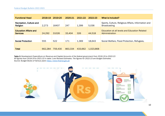| <b>Functional Head</b>                          | 2018-19 | 2019-20 | 2020-21 | 2021-22 | 2022-23   | What is Included?                                                          |
|-------------------------------------------------|---------|---------|---------|---------|-----------|----------------------------------------------------------------------------|
| Recreation, Culture and<br>Religion             | 2,273   | 16407   | 247     | 1,399   | 5,036     | Sports, Culture, Religious Affairs, Information and<br><b>Broadcasting</b> |
| <b>Education Affairs and</b><br><b>Services</b> | 24,292  | 31026   | 33,404  | 326     | 44,518    | Education at all levels and Education Related<br>Administration            |
| <b>Social Protection</b>                        | 555     | 522     | 171     | 1,369   | 18,643    | Social Welfare, Flood Protection, Refugees,                                |
| <b>Total</b>                                    | 662,284 | 759,430 | 863,334 | 433,662 | 1,023,868 |                                                                            |

*Table 3: Development Expenditure on Revenue and Capital Accounts of the federal government from 2018-19 to 2022-23 All figures from 2018-19 to 2021-22 in table 1 are Revised Estimates. The figures for 2022-23 are Budget Estimates. Source: Budget Books of Various years [https://www.finance.gov.pk](https://www.finance.gov.pk/)*

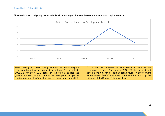l



The development budget figures include development expenditure on the revenue account and capital account.

The increasing ratio means that government has less fiscal space to allocate budget for development expenditure. For example, in 2021-22, for every 23.3 spent on the current budget, the government has only one rupee for the development budget. As can be seen from the graph, the trend is similar apart from 202021. In this year, a lesser allocation could be made for the development budget. The data for 2021-22 also suggest that government may not be able to spend much on development expenditure in 2022-23 as is estimated, and this ratio might be different at the Revised Estimates stage.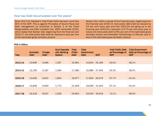## <span id="page-11-0"></span>How has Debt Accumulated over the years?

Since 2013-14, Pakistan's Total Public Debt has been more than 60% of the GDP. This is against Principles of Sound Fiscal and Debt management as enshrined in Section 3 of the Fiscal Responsibility and Debt Limitation Act, 2005 (amended 2016), which states that Section 3(b): beginning from the financial year 2016-17, the total public debt shall be reduced to sixty per cent of the estimated gross domestic product.

Section 3(c): within a period of five financial years, beginning from the financial year 2018-19, total public debt shall be reduced by 0.5 per cent every year and from 2023-24 and going up to the financial year 2032-33 a reduction of 0.75 per cent every year to reduce the total public debt to fifty per cent of the estimated gross domestic product and thereafter maintaining it to fifty per cent or less of the estimated gross domestic product

| Year    | <b>Domestic</b><br><b>Debt</b> | Foreign<br><b>Debt</b> | <b>Govt Deposits</b><br>with Banking<br><b>System</b> | <b>Total</b><br><b>Public</b><br><b>Debt</b> | <b>Total</b><br>Government<br><b>Debt</b> | <b>GDP</b> | <b>Total Public Debt</b><br>as Percentage of<br><b>GDP</b> | <b>Total Government</b><br>Debt as Percentage of<br><b>GDP</b> |
|---------|--------------------------------|------------------------|-------------------------------------------------------|----------------------------------------------|-------------------------------------------|------------|------------------------------------------------------------|----------------------------------------------------------------|
| 2013-14 | 10,906                         | 5,085                  | 1,367                                                 | 15,991                                       | 14,624                                    | 25,169     | 63.5%                                                      | 58.1%                                                          |
| 2014-15 | 12,193                         | 5,187                  | 1,394                                                 | 17,380                                       | 15,986                                    | 27,443     | 63.3%                                                      | 58.2%                                                          |
| 2015-16 | 13,626                         | 6,051                  | 1,853                                                 | 19,677                                       | 17,824                                    | 29,076     | 67.7%                                                      | 61.3%                                                          |
| 2016-17 | 14,849                         | 6,560                  | 1,773                                                 | 21,409                                       | 19,636                                    | 31,922     | 67.1%                                                      | 61.5%                                                          |
| 2017-18 | 16,416                         | 8,537                  | 1,929                                                 | 24,953                                       | 23,024                                    | 34,619     | 72.1%                                                      | 66.5%                                                          |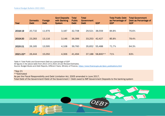| Year     | <b>Domestic</b><br><b>Debt</b> | Foreign<br><b>Debt</b> | <b>Govt Deposits</b><br>with Banking<br><b>System</b> | <b>Total</b><br><b>Public</b><br><b>Debt</b> | <b>Total</b><br>Government<br><b>Debt</b> | <b>GDP</b> | <b>Total Public Debt</b><br>as Percentage of<br><b>GDP</b> | <b>Total Government</b><br>Debt as Percentage of<br><b>GDP</b> |
|----------|--------------------------------|------------------------|-------------------------------------------------------|----------------------------------------------|-------------------------------------------|------------|------------------------------------------------------------|----------------------------------------------------------------|
|          |                                |                        |                                                       |                                              |                                           |            |                                                            |                                                                |
| 2018-19  | 20,732                         | 11,976                 | 3,187                                                 | 32,708                                       | 29,521                                    | 38,559     | 84.8%                                                      | 76.6%                                                          |
|          |                                |                        |                                                       |                                              |                                           |            |                                                            |                                                                |
| 2019-20  | 23,283                         | 13,116                 | 3,146                                                 | 36,399                                       | 33,253                                    | 42,427     | 85.8%                                                      | 78.4%                                                          |
|          |                                |                        |                                                       |                                              |                                           |            |                                                            |                                                                |
| 2020-21  | 26,165                         | 13,595                 | 4,108                                                 | 39,760                                       | 35,652                                    | 55,488     | 71.7%                                                      | 64.3%                                                          |
|          |                                |                        |                                                       |                                              |                                           |            |                                                            |                                                                |
| 2021-22* | 26,444                         | 15,050                 | 4,306                                                 | 41,494                                       | 37,188                                    | 58,800**   | 71%                                                        | 63%                                                            |

*Table 4: Total Public and Government Debt as a percentage of GDP All figures in the above table from 2013-14 to 2021-22 are Revised Estimates. Source: Budget Books and Debt Reports, Different Years, Ministry of Finance, [https://www.finance.gov.pk/dpco\\_publications.html](https://www.finance.gov.pk/dpco_publications.html)*

\*Sep 21

\*\*Estimated

As per the Fiscal Responsibility and Debt Limitation Act, 2005 amended in June 2017, Total Debt of the Government=Debt of the Government + Debt owed to IMF-Government Deposits to the banking system

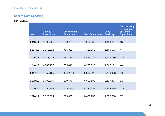## <span id="page-13-0"></span>Cost of Debt Servicing

| Year    | <b>Current</b><br><b>Expenditure</b> | <b>Development</b><br><b>Expenditure</b> | <b>Total Expenditure</b> | <b>Debt</b><br><b>Servicing</b> | <b>Debt Servicing</b><br>as Percentage<br>of Current<br><b>Expenditure</b> |
|---------|--------------------------------------|------------------------------------------|--------------------------|---------------------------------|----------------------------------------------------------------------------|
|         |                                      |                                          |                          |                                 |                                                                            |
| 2013-14 | 3,403,801                            | 858,707                                  | 4,262,508                | 1,450,851                       | 43%                                                                        |
| 2014-15 | 3,558,328                            | 754,322                                  | 4,312,650                | 1,565,623                       | 44%                                                                        |
| 2015-16 | 3,713,916                            | 751,118                                  | 4,465,034                | 1,633,139                       | 44%                                                                        |
| 2016-17 | 4,049,477                            | 936,443                                  | 4,985,920                | 1,868,131                       | 46%                                                                        |
| 2017-18 | 4,450,165                            | 1,062,760                                | 5,512,925                | 2,470,428                       | 56%                                                                        |
| 2018-19 | 5,793,909                            | 829,679                                  | 6,623,588                | 3,527,477                       | 61%                                                                        |
| 2019-20 | 7,585,902                            | 759,430                                  | 8,345,332                | 3,954,695                       | 52%                                                                        |
| 2020-21 | 7,625,924                            | 863,335                                  | 8,489,259                | 2,850,688                       | 37%                                                                        |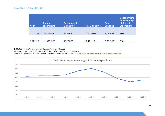| Year    | <b>Current</b><br><b>Expenditure</b> | <b>Development</b><br><b>Expenditure</b> | <b>Total Expenditure</b> | <b>Debt</b><br><b>Servicing</b> | <b>Debt Servicing</b><br>as Percentage<br>of Current<br><b>Expenditure</b> |
|---------|--------------------------------------|------------------------------------------|--------------------------|---------------------------------|----------------------------------------------------------------------------|
| 2021-22 | 10,190,025                           | 433,664                                  | 10,623,689               | 3,059,681                       | 30%                                                                        |
| 2022-23 | 11,397,303                           | 1023868                                  | 12,421,171               | 3,950,062                       | 35%                                                                        |

*Table 5: Debt servicing as a percentage of the current budget*

*All figures in the above table from 2013-14 to 2021-22 are Revised Estimates.*

*Source: Budget Books and Debt Reports, Different Years, Ministry of Finance, [https://www.finance.gov.pk/dpco\\_publications.html](https://www.finance.gov.pk/dpco_publications.html)*